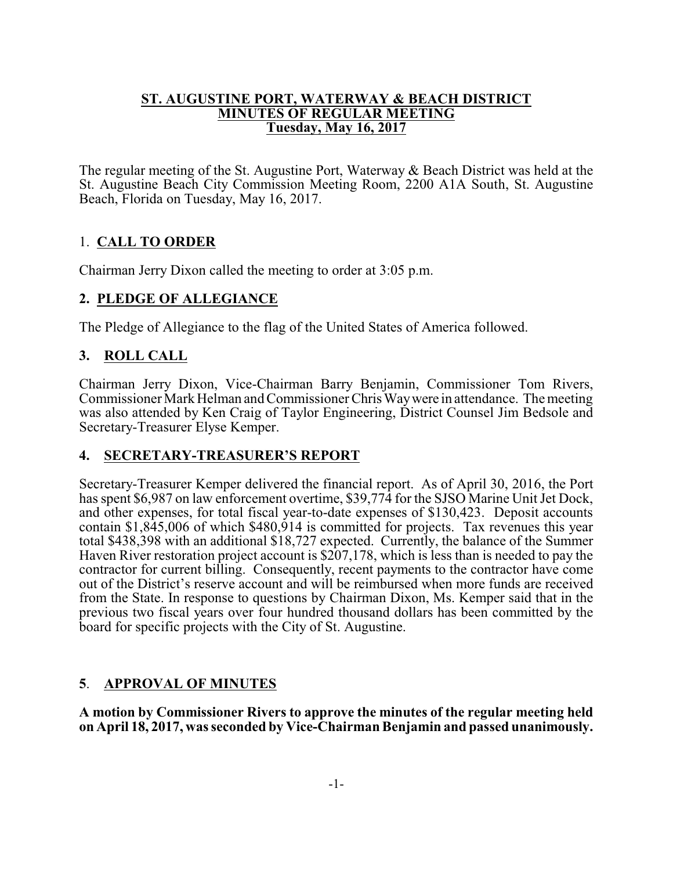#### **ST. AUGUSTINE PORT, WATERWAY & BEACH DISTRICT MINUTES OF REGULAR MEETING Tuesday, May 16, 2017**

The regular meeting of the St. Augustine Port, Waterway & Beach District was held at the St. Augustine Beach City Commission Meeting Room, 2200 A1A South, St. Augustine Beach, Florida on Tuesday, May 16, 2017.

# 1. **CALL TO ORDER**

Chairman Jerry Dixon called the meeting to order at 3:05 p.m.

### **2. PLEDGE OF ALLEGIANCE**

The Pledge of Allegiance to the flag of the United States of America followed.

## **3. ROLL CALL**

Chairman Jerry Dixon, Vice-Chairman Barry Benjamin, Commissioner Tom Rivers, Commissioner Mark Helman and Commissioner Chris Way were in attendance. The meeting was also attended by Ken Craig of Taylor Engineering, District Counsel Jim Bedsole and Secretary-Treasurer Elyse Kemper.

### **4. SECRETARY-TREASURER'S REPORT**

Secretary-Treasurer Kemper delivered the financial report. As of April 30, 2016, the Port has spent \$6,987 on law enforcement overtime, \$39,774 for the SJSO Marine Unit Jet Dock, and other expenses, for total fiscal year-to-date expenses of \$130,423. Deposit accounts contain \$1,845,006 of which \$480,914 is committed for projects. Tax revenues this year total \$438,398 with an additional \$18,727 expected. Currently, the balance of the Summer Haven River restoration project account is \$207,178, which is less than is needed to pay the contractor for current billing. Consequently, recent payments to the contractor have come out of the District's reserve account and will be reimbursed when more funds are received from the State. In response to questions by Chairman Dixon, Ms. Kemper said that in the previous two fiscal years over four hundred thousand dollars has been committed by the board for specific projects with the City of St. Augustine.

### **5**. **APPROVAL OF MINUTES**

**A motion by Commissioner Rivers to approve the minutes of the regular meeting held on April 18, 2017, was seconded by Vice-Chairman Benjamin and passed unanimously.**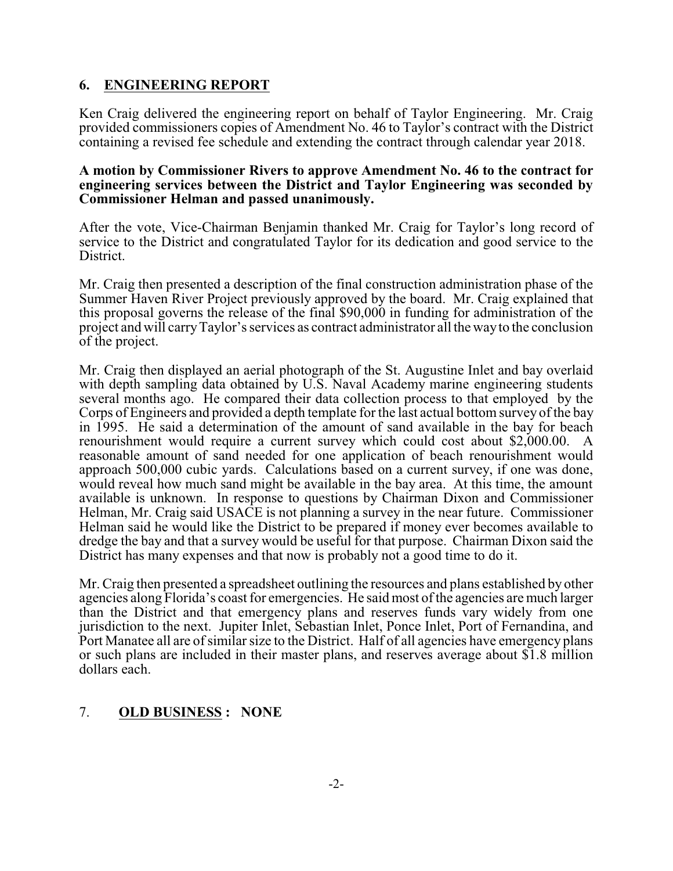### **6. ENGINEERING REPORT**

Ken Craig delivered the engineering report on behalf of Taylor Engineering. Mr. Craig provided commissioners copies of Amendment No. 46 to Taylor's contract with the District containing a revised fee schedule and extending the contract through calendar year 2018.

#### **A motion by Commissioner Rivers to approve Amendment No. 46 to the contract for engineering services between the District and Taylor Engineering was seconded by Commissioner Helman and passed unanimously.**

After the vote, Vice-Chairman Benjamin thanked Mr. Craig for Taylor's long record of service to the District and congratulated Taylor for its dedication and good service to the District.

Mr. Craig then presented a description of the final construction administration phase of the Summer Haven River Project previously approved by the board. Mr. Craig explained that this proposal governs the release of the final \$90,000 in funding for administration of the project and will carryTaylor's services as contract administrator all the wayto the conclusion of the project.

Mr. Craig then displayed an aerial photograph of the St. Augustine Inlet and bay overlaid with depth sampling data obtained by U.S. Naval Academy marine engineering students several months ago. He compared their data collection process to that employed by the Corps of Engineers and provided a depth template for the last actual bottom survey of the bay in 1995. He said a determination of the amount of sand available in the bay for beach renourishment would require a current survey which could cost about \$2,000.00. A reasonable amount of sand needed for one application of beach renourishment would approach 500,000 cubic yards. Calculations based on a current survey, if one was done, would reveal how much sand might be available in the bay area. At this time, the amount available is unknown. In response to questions by Chairman Dixon and Commissioner Helman, Mr. Craig said USACE is not planning a survey in the near future. Commissioner Helman said he would like the District to be prepared if money ever becomes available to dredge the bay and that a survey would be useful for that purpose. Chairman Dixon said the District has many expenses and that now is probably not a good time to do it.

Mr. Craig then presented a spreadsheet outlining the resources and plans established by other agencies along Florida's coast for emergencies. He said most ofthe agencies are much larger than the District and that emergency plans and reserves funds vary widely from one jurisdiction to the next. Jupiter Inlet, Sebastian Inlet, Ponce Inlet, Port of Fernandina, and Port Manatee all are of similar size to the District. Half of all agencies have emergency plans or such plans are included in their master plans, and reserves average about \$1.8 million dollars each.

### 7. **OLD BUSINESS : NONE**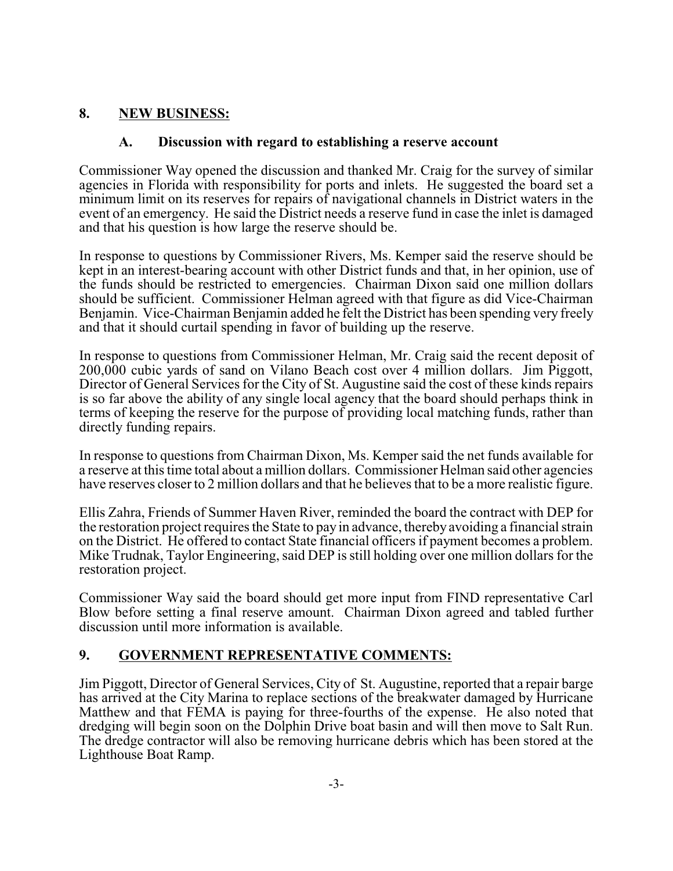## **8. NEW BUSINESS:**

#### **A. Discussion with regard to establishing a reserve account**

Commissioner Way opened the discussion and thanked Mr. Craig for the survey of similar agencies in Florida with responsibility for ports and inlets. He suggested the board set a minimum limit on its reserves for repairs of navigational channels in District waters in the event of an emergency. He said the District needs a reserve fund in case the inlet is damaged and that his question is how large the reserve should be.

In response to questions by Commissioner Rivers, Ms. Kemper said the reserve should be kept in an interest-bearing account with other District funds and that, in her opinion, use of the funds should be restricted to emergencies. Chairman Dixon said one million dollars should be sufficient. Commissioner Helman agreed with that figure as did Vice-Chairman Benjamin. Vice-Chairman Benjamin added he felt the District has been spending very freely and that it should curtail spending in favor of building up the reserve.

In response to questions from Commissioner Helman, Mr. Craig said the recent deposit of 200,000 cubic yards of sand on Vilano Beach cost over 4 million dollars. Jim Piggott, Director of General Services for the City of St. Augustine said the cost of these kinds repairs is so far above the ability of any single local agency that the board should perhaps think in terms of keeping the reserve for the purpose of providing local matching funds, rather than directly funding repairs.

In response to questions from Chairman Dixon, Ms. Kemper said the net funds available for a reserve at this time total about a million dollars. Commissioner Helman said other agencies have reserves closer to 2 million dollars and that he believes that to be a more realistic figure.

Ellis Zahra, Friends of Summer Haven River, reminded the board the contract with DEP for the restoration project requires the State to pay in advance, thereby avoiding a financial strain on the District. He offered to contact State financial officers if payment becomes a problem. Mike Trudnak, Taylor Engineering, said DEP is still holding over one million dollars for the restoration project.

Commissioner Way said the board should get more input from FIND representative Carl Blow before setting a final reserve amount. Chairman Dixon agreed and tabled further discussion until more information is available.

# **9. GOVERNMENT REPRESENTATIVE COMMENTS:**

Jim Piggott, Director of General Services, City of St. Augustine, reported that a repair barge has arrived at the City Marina to replace sections of the breakwater damaged by Hurricane Matthew and that FEMA is paying for three-fourths of the expense. He also noted that dredging will begin soon on the Dolphin Drive boat basin and will then move to Salt Run. The dredge contractor will also be removing hurricane debris which has been stored at the Lighthouse Boat Ramp.